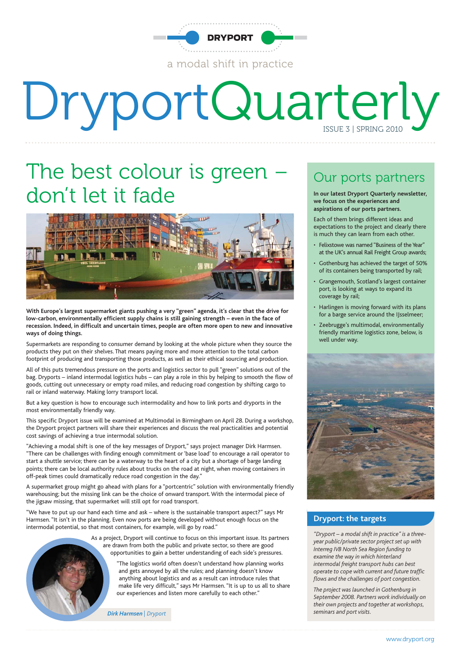

# DryportQuarterly

#### The best colour is green don't let it fade



**With Europe's largest supermarket giants pushing a very "green" agenda, it's clear that the drive for low-carbon, environmentally efficient supply chains is still gaining strength – even in the face of recession. Indeed, in difficult and uncertain times, people are often more open to new and innovative ways of doing things.**

Supermarkets are responding to consumer demand by looking at the whole picture when they source the products they put on their shelves. That means paying more and more attention to the total carbon footprint of producing and transporting those products, as well as their ethical sourcing and production.

All of this puts tremendous pressure on the ports and logistics sector to pull "green" solutions out of the bag. Dryports – inland intermodal logistics hubs – can play a role in this by helping to smooth the flow of goods, cutting out unnecessary or empty road miles, and reducing road congestion by shifting cargo to rail or inland waterway. Making lorry transport local.

But a key question is how to encourage such intermodality and how to link ports and dryports in the most environmentally friendly way.

This specific Dryport issue will be examined at Multimodal in Birmingham on April 28. During a workshop, the Dryport project partners will share their experiences and discuss the real practicalities and potential cost savings of achieving a true intermodal solution.

"Achieving a modal shift is one of the key messages of Dryport," says project manager Dirk Harmsen. "There can be challenges with finding enough commitment or 'base load' to encourage a rail operator to start a shuttle service; there can be a waterway to the heart of a city but a shortage of barge landing points; there can be local authority rules about trucks on the road at night, when moving containers in off-peak times could dramatically reduce road congestion in the day."

A supermarket group might go ahead with plans for a "portcentric" solution with environmentally friendly warehousing; but the missing link can be the choice of onward transport. With the intermodal piece of the jigsaw missing, that supermarket will still opt for road transport.

"We have to put up our hand each time and ask – where is the sustainable transport aspect?" says Mr Harmsen. "It isn't in the planning. Even now ports are being developed without enough focus on the intermodal potential, so that most containers, for example, will go by road."

> As a project, Dryport will continue to focus on this important issue. Its partners are drawn from both the public and private sector, so there are good opportunities to gain a better understanding of each side's pressures.

> > "The logistics world often doesn't understand how planning works and gets annoyed by all the rules; and planning doesn't know anything about logistics and as a result can introduce rules that make life very difficult," says Mr Harmsen. "It is up to us all to share our experiences and listen more carefully to each other."

**Dirk Harmsen** | Dryport *port Dirk Harmsen | Dryport port portion <b><i>seminars and port visits.* 

#### Our ports partners

**In our latest Dryport Quarterly newsletter, we focus on the experiences and aspirations of our ports partners.**

Each of them brings different ideas and expectations to the project and clearly there is much they can learn from each other.

- Felixstowe was named "Business of the Year" at the UK's annual Rail Freight Group awards;
- Gothenburg has achieved the target of 50% of its containers being transported by rail;
- Grangemouth, Scotland's largest container port, is looking at ways to expand its coverage by rail;
- Harlingen is moving forward with its plans for a barge service around the IJsselmeer;
- Zeebrugge's multimodal, environmentally friendly maritime logistics zone, below, is well under way.



#### **Dryport: the targets**

*"Dryport – a modal shift in practice" is a threeyear public/private sector project set up with Interreg IVB North Sea Region funding to examine the way in which hinterland intermodal freight transport hubs can best operate to cope with current and future traffic flows and the challenges of port congestion.*

*The project was launched in Gothenburg in September 2008. Partners work individually on their own projects and together at workshops,*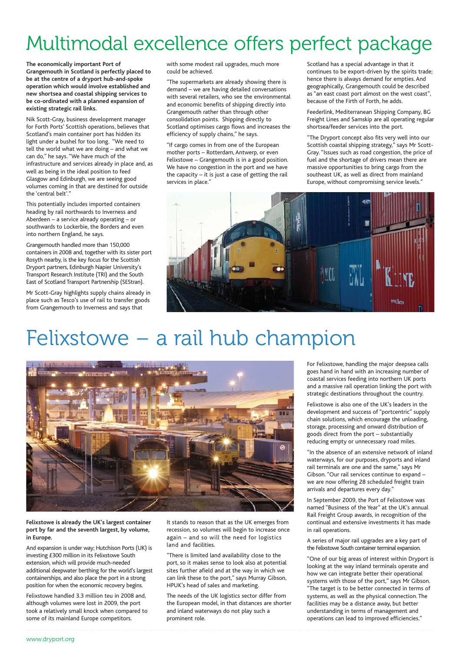#### Multimodal excellence offers perfect package

**The economically important Port of Grangemouth in Scotland is perfectly placed to be at the centre of a dryport hub-and-spoke operation which would involve established and new shortsea and coastal shipping services to be co-ordinated with a planned expansion of existing strategic rail links.**

Nik Scott-Gray, business development manager for Forth Ports' Scottish operations, believes that Scotland's main container port has hidden its light under a bushel for too long. "We need to tell the world what we are doing – and what we can do," he says. "We have much of the infrastructure and services already in place and, as well as being in the ideal position to feed Glasgow and Edinburgh, we are seeing good volumes coming in that are destined for outside the 'central belt'."

This potentially includes imported containers heading by rail northwards to Inverness and Aberdeen – a service already operating – or southwards to Lockerbie, the Borders and even into northern England, he says.

Grangemouth handled more than 150,000 containers in 2008 and, together with its sister port Rosyth nearby, is the key focus for the Scottish Dryport partners, Edinburgh Napier University's Transport Research Institute (TRI) and the South East of Scotland Transport Partnership (SEStran).

Mr Scott-Gray highlights supply chains already in place such as Tesco's use of rail to transfer goods from Grangemouth to Inverness and says that

with some modest rail upgrades, much more could be achieved.

"The supermarkets are already showing there is demand – we are having detailed conversations with several retailers, who see the environmental and economic benefits of shipping directly into Grangemouth rather than through other consolidation points. Shipping directly to Scotland optimises cargo flows and increases the efficiency of supply chains," he says.

"If cargo comes in from one of the European mother ports – Rotterdam, Antwerp, or even Felixstowe – Grangemouth is in a good position. We have no congestion in the port and we have the capacity – it is just a case of getting the rail services in place."

Scotland has a special advantage in that it continues to be export-driven by the spirits trade; hence there is always demand for empties. And geographically, Grangemouth could be described as "an east coast port almost on the west coast", because of the Firth of Forth, he adds.

Feederlink, Mediterranean Shipping Company, BG Freight Lines and Samskip are all operating regular shortsea/feeder services into the port.

"The Dryport concept also fits very well into our Scottish coastal shipping strategy," says Mr Scott-Gray. "Issues such as road congestion, the price of fuel and the shortage of drivers mean there are massive opportunities to bring cargo from the southeast UK, as well as direct from mainland Europe, without compromising service levels."



#### Felixstowe – a rail hub champion



**Felixstowe is already the UK's largest container port by far and the seventh largest, by volume, in Europe.**

And expansion is under way; Hutchison Ports (UK) is investing £300 million in its Felixstowe South extension, which will provide much-needed additional deepwater berthing for the world's largest containerships, and also place the port in a strong position for when the economic recovery begins.

Felixstowe handled 3.3 million teu in 2008 and, although volumes were lost in 2009, the port took a relatively small knock when compared to some of its mainland Europe competitors.

It stands to reason that as the UK emerges from recession, so volumes will begin to increase once again – and so will the need for logistics land and facilities.

"There is limited land availability close to the port, so it makes sense to look also at potential sites further afield and at the way in which we can link these to the port," says Murray Gibson, HPUK's head of sales and marketing.

The needs of the UK logistics sector differ from the European model, in that distances are shorter and inland waterways do not play such a prominent role.

For Felixstowe, handling the major deepsea calls goes hand in hand with an increasing number of coastal services feeding into northern UK ports and a massive rail operation linking the port with strategic destinations throughout the country.

Felixstowe is also one of the UK's leaders in the development and success of "portcentric" supply chain solutions, which encourage the unloading, storage, processing and onward distribution of goods direct from the port – substantially reducing empty or unnecessary road miles.

"In the absence of an extensive network of inland waterways, for our purposes, dryports and inland rail terminals are one and the same," says Mr Gibson. "Our rail services continue to expand – we are now offering 28 scheduled freight train arrivals and departures every day."

In September 2009, the Port of Felixstowe was named "Business of the Year" at the UK's annual Rail Freight Group awards, in recognition of the continual and extensive investments it has made in rail operations.

A series of major rail upgrades are a key part of the Felixstowe South container terminal expansion.

"One of our big areas of interest within Dryport is looking at the way inland terminals operate and how we can integrate better their operational systems with those of the port," says Mr Gibson. "The target is to be better connected in terms of systems, as well as the physical connection. The facilities may be a distance away, but better understanding in terms of management and operations can lead to improved efficiencies."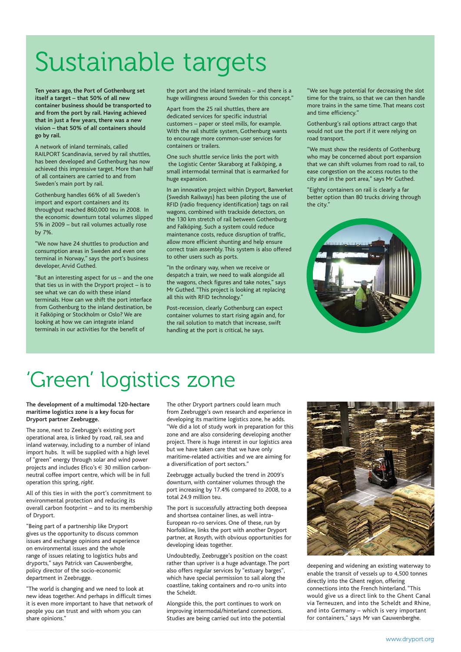## Sustainable targets

**Ten years ago, the Port of Gothenburg set itself a target – that 50% of all new container business should be transported to and from the port by rail. Having achieved that in just a few years, there was a new vision – that 50% of** *all* **containers should go by rail.**

A network of inland terminals, called RAILPORT Scandinavia, served by rail shuttles, has been developed and Gothenburg has now achieved this impressive target. More than half of all containers are carried to and from Sweden's main port by rail.

Gothenburg handles 66% of all Sweden's import and export containers and its throughput reached 860,000 teu in 2008. In the economic downturn total volumes slipped 5% in 2009 – but rail volumes actually rose by 7%.

"We now have 24 shuttles to production and consumption areas in Sweden and even one terminal in Norway," says the port's business developer, Arvid Guthed.

"But an interesting aspect for us – and the one that ties us in with the Dryport project – is to see what we can do with these inland terminals. How can we shift the port interface from Gothenburg to the inland destination, be it Falköping or Stockholm or Oslo? We are looking at how we can integrate inland terminals in our activities for the benefit of

the port and the inland terminals – and there is a huge willingness around Sweden for this concept."

Apart from the 25 rail shuttles, there are dedicated services for specific industrial customers – paper or steel mills, for example. With the rail shuttle system, Gothenburg wants to encourage more common-user services for containers or trailers.

One such shuttle service links the port with the Logistic Center Skaraborg at Falköping, a small intermodal terminal that is earmarked for huge expansion.

In an innovative project within Dryport, Banverket (Swedish Railways) has been piloting the use of RFID (radio frequency identification) tags on rail wagons, combined with trackside detectors, on the 130 km stretch of rail between Gothenburg and Falköping. Such a system could reduce maintenance costs, reduce disruption of traffic, allow more efficient shunting and help ensure correct train assembly. This system is also offered to other users such as ports.

"In the ordinary way, when we receive or despatch a train, we need to walk alongside all the wagons, check figures and take notes," says Mr Guthed. "This project is looking at replacing all this with RFID technology.'

Post-recession, clearly Gothenburg can expect container volumes to start rising again and, for the rail solution to match that increase, swift handling at the port is critical, he says.

"We see huge potential for decreasing the slot time for the trains, so that we can then handle more trains in the same time. That means cost and time efficiency."

Gothenburg's rail options attract cargo that would not use the port if it were relying on road transport.

"We must show the residents of Gothenburg who may be concerned about port expansion that we can shift volumes from road to rail, to ease congestion on the access routes to the city and in the port area," says Mr Guthed.

"Eighty containers on rail is clearly a far better option than 80 trucks driving through the city."



### 'Green' logistics zone

**The development of a multimodal 120-hectare maritime logistics zone is a key focus for Dryport partner Zeebrugge.**

The zone, next to Zeebrugge's existing port operational area, is linked by road, rail, sea and inland waterway, including to a number of inland import hubs. It will be supplied with a high level of "green" energy through solar and wind power projects and includes Efico's  $\in$  30 million carbonneutral coffee import centre, which will be in full operation this spring, *right*.

All of this ties in with the port's commitment to environmental protection and reducing its overall carbon footprint – and to its membership of Dryport.

"Being part of a partnership like Dryport gives us the opportunity to discuss common issues and exchange opinions and experience on environmental issues and the whole range of issues relating to logistics hubs and dryports," says Patrick van Cauwenberghe, policy director of the socio-economic department in Zeebrugge.

"The world is changing and we need to look at new ideas together. And perhaps in difficult times it is even more important to have that network of people you can trust and with whom you can share opinions."

The other Dryport partners could learn much from Zeebrugge's own research and experience in developing its maritime logistics zone, he adds. "We did a lot of study work in preparation for this zone and are also considering developing another project. There is huge interest in our logistics area but we have taken care that we have only maritime-related activities and we are aiming for a diversification of port sectors."

Zeebrugge actually bucked the trend in 2009's downturn, with container volumes through the port increasing by 17.4% compared to 2008, to a total 24.9 million teu.

The port is successfully attracting both deepsea and shortsea container lines, as well intra-European ro-ro services. One of these, run by Norfolkline, links the port with another Dryport partner, at Rosyth, with obvious opportunities for developing ideas together.

Undoubtedly, Zeebrugge's position on the coast rather than upriver is a huge advantage. The port also offers regular services by "estuary barges", which have special permission to sail along the coastline, taking containers and ro-ro units into the Scheldt.

Alongside this, the port continues to work on improving intermodal/hinterland connections. Studies are being carried out into the potential



deepening and widening an existing waterway to enable the transit of vessels up to 4,500 tonnes directly into the Ghent region, offering connections into the French hinterland. "This would give us a direct link to the Ghent Canal via Terneuzen, and into the Scheldt and Rhine, and into Germany – which is very important for containers," says Mr van Cauwenberghe.